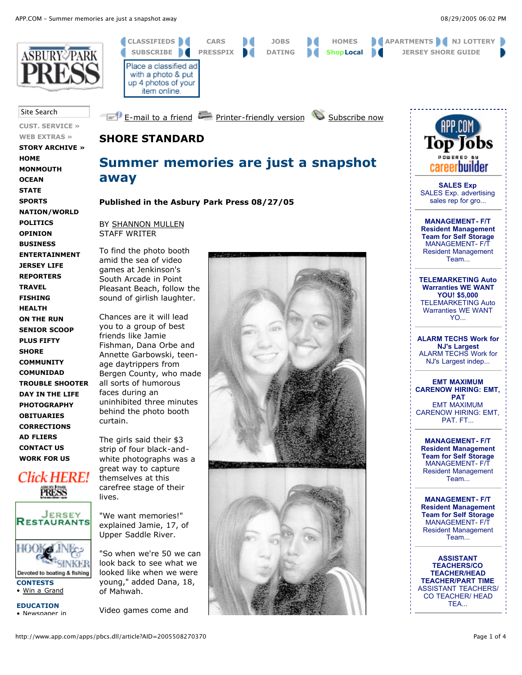

Site Search

**CUST. SERVICE »**

**WEB EXTRAS » STORY ARCHIVE » HOME MONMOUTH OCEAN STATE SPORTS NATION/WORLD POLITICS OPINION BUSINESS ENTERTAINMENT JERSEY LIFE REPORTERS TRAVEL FISHING HEALTH ON THE RUN SENIOR SCOOP PLUS FIFTY SHORE**

**COMMUNITY COMUNIDAD TROUBLE SHOOTER DAY IN THE LIFE PHOTOGRAPHY OBITUARIES CORRECTIONS AD FLIERS CONTACT US WORK FOR US**

*Click HERE!* PRESS

JERSEY **RESTAURANTS** 

Devoted to boating & fishing

**CONTESTS** • Win a Grand **EDUCATION** • Newspaper in BY SHANNON MULLEN STAFF WRITER

**away**

**SHORE STANDARD**

Place a classified ad with a photo & put up 4 photos of your item online.

To find the photo booth amid the sea of video games at Jenkinson's South Arcade in Point Pleasant Beach, follow the sound of girlish laughter.

Chances are it will lead you to a group of best friends like Jamie Fishman, Dana Orbe and Annette Garbowski, teenage daytrippers from Bergen County, who made all sorts of humorous faces during an uninhibited three minutes behind the photo booth curtain.

The girls said their \$3 strip of four black-andwhite photographs was a great way to capture themselves at this carefree stage of their lives.

"We want memories!" explained Jamie, 17, of Upper Saddle River.

"So when we're 50 we can look back to see what we looked like when we were young," added Dana, 18, of Mahwah.

Video games come and



**CLASSIFIEDS CARS JOBS HOMES APARTMENTS NJ LOTTERY SUBSCRIBE PRESSPIX DATING ShopLocal JERSEY SHORE GUIDE**

**E-mail to a friend Printer-friendly version Subscribe now** 

**Summer memories are just a snapshot**

**Published in the Asbury Park Press 08/27/05**





**SALES Exp** SALES Exp. advertising sales rep for gro...

**MANAGEMENT- F/T Resident Management Team for Self Storage** MANAGEMENT- F/T Resident Management Team...

**TELEMARKETING Auto Warranties WE WANT YOU! \$5,000** TELEMARKETING Auto Warranties WE WANT YO...

**ALARM TECHS Work for NJ's Largest** ALARM TECHS Work for NJ's Largest indep...

**EMT MAXIMUM CARENOW HIRING: EMT, PAT** EMT MAXIMUM CARENOW HIRING: EMT, PAT. FT...

**MANAGEMENT- F/T Resident Management Team for Self Storage** MANAGEMENT- F/T Resident Management Team...

**MANAGEMENT- F/T Resident Management Team for Self Storage** MANAGEMENT- F/T Resident Management Team...

**ASSISTANT TEACHERS/CO TEACHER/HEAD TEACHER/PART TIME** ASSISTANT TEACHERS/ CO TEACHER/ HEAD TEA...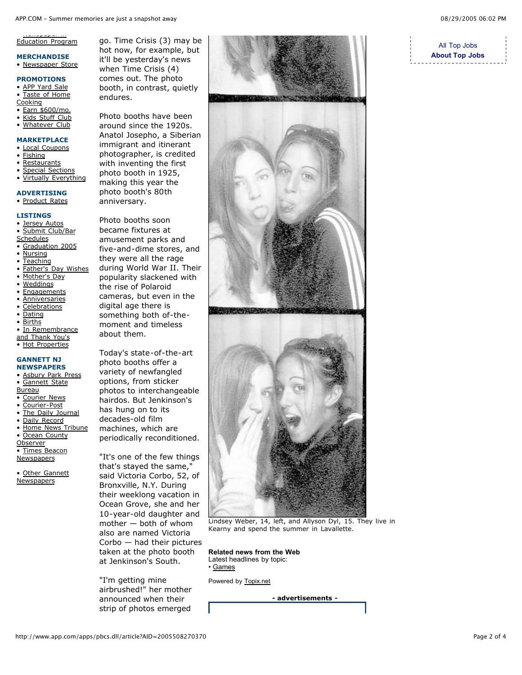### <u>•••••••••••••</u> Education Program

#### **MERCHANDISE** • Newspaper Store

## **PROMOTIONS**

- APP Yard Sale
- Taste of Home
- **Cooking**
- Earn \$600/mo.
- Kids Stuff Club
- Whatever Club
- **MARKETPLACE**
- **Local Coupons**
- **Fishing**
- Restaurants
- **Special Sections**
- Virtually Everything

## **ADVERTISING**

• Product Rates

### **LISTINGS**

- Jersey Autos Submit Club/Bar **Schedules**
- Graduation 2005
- Nursing
- Teaching
- **Father's Day Wishes**
- Mother's Day
- **Weddings**
- **Engagements**
- **Anniversaries**
- **Celebrations**
- **Dating**
- **Births**
- In Remembrance
- and Thank You's
- Hot Properties

#### **GANNETT NJ NEWSPAPERS**

- Asbury Park Press
- Gannett State
- Bureau
- Courier News
- Courier-Post The Daily Journal
- Daily Record
- Home News Tribune
- **Ocean County**
- **Observer**
- Times Beacon
- **Newspapers**

Other Gannett **Newspapers** 

go. Time Crisis (3) may be hot now, for example, but it'll be yesterday's news when Time Crisis (4) comes out. The photo booth, in contrast, quietly endures.

Photo booths have been around since the 1920s. Anatol Josepho, a Siberian immigrant and itinerant photographer, is credited with inventing the first photo booth in 1925, making this year the photo booth's 80th anniversary.

Photo booths soon became fixtures at amusement parks and five-and-dime stores, and they were all the rage during World War II. Their popularity slackened with the rise of Polaroid cameras, but even in the digital age there is something both of-themoment and timeless about them.

Today's state-of-the-art photo booths offer a variety of newfangled options, from sticker photos to interchangeable hairdos. But Jenkinson's has hung on to its decades-old film machines, which are periodically reconditioned.

"It's one of the few things that's stayed the same," said Victoria Corbo, 52, of Bronxville, N.Y. During their weeklong vacation in Ocean Grove, she and her 10-year-old daughter and mother — both of whom also are named Victoria Corbo — had their pictures taken at the photo booth at Jenkinson's South.

"I'm getting mine airbrushed!" her mother announced when their strip of photos emerged







Lindsey Weber, 14, left, and Allyson Dyl, 15. They live in Kearny and spend the summer in Lavallette.

**Related news from the Web** Latest headlines by topic: • Games

Powered by Topix.net

**- advertisements -**

# All Top Jobs **About Top Jobs**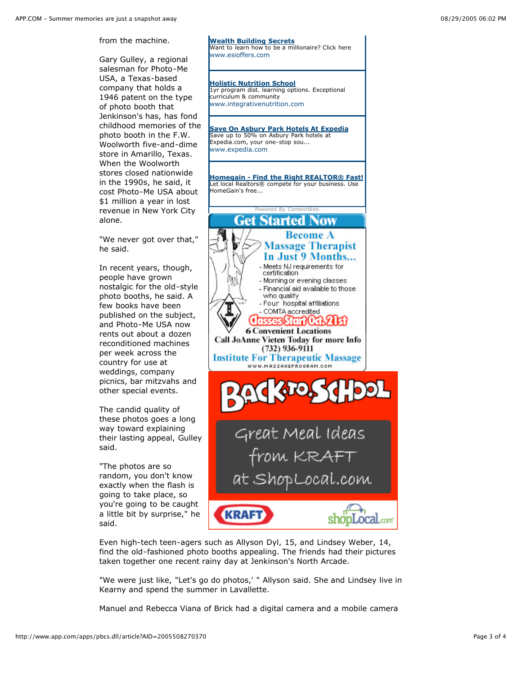from the machine.

Gary Gulley, a regional salesman for Photo-Me USA, a Texas-based company that holds a 1946 patent on the type of photo booth that Jenkinson's has, has fond childhood memories of the photo booth in the F.W. Woolworth five-and-dime store in Amarillo, Texas. When the Woolworth stores closed nationwide in the 1990s, he said, it cost Photo-Me USA about \$1 million a year in lost revenue in New York City alone.

"We never got over that," he said.

In recent years, though, people have grown nostalgic for the old-style photo booths, he said. A few books have been published on the subject, and Photo-Me USA now rents out about a dozen reconditioned machines per week across the country for use at weddings, company picnics, bar mitzvahs and other special events.

The candid quality of these photos goes a long way toward explaining their lasting appeal, Gulley said.

"The photos are so random, you don't know exactly when the flash is going to take place, so you're going to be caught a little bit by surprise," he said.



**Wealth Building Secrets**

**Holistic Nutrition School**

curriculum & community www.integrativenutrition.com

www.esioffers.com

Want to learn how to be a millionaire? Click here

1yr program dist. learning options. Exceptional

Even high-tech teen-agers such as Allyson Dyl, 15, and Lindsey Weber, 14, find the old-fashioned photo booths appealing. The friends had their pictures taken together one recent rainy day at Jenkinson's North Arcade.

"We were just like, "Let's go do photos,' " Allyson said. She and Lindsey live in Kearny and spend the summer in Lavallette.

Manuel and Rebecca Viana of Brick had a digital camera and a mobile camera